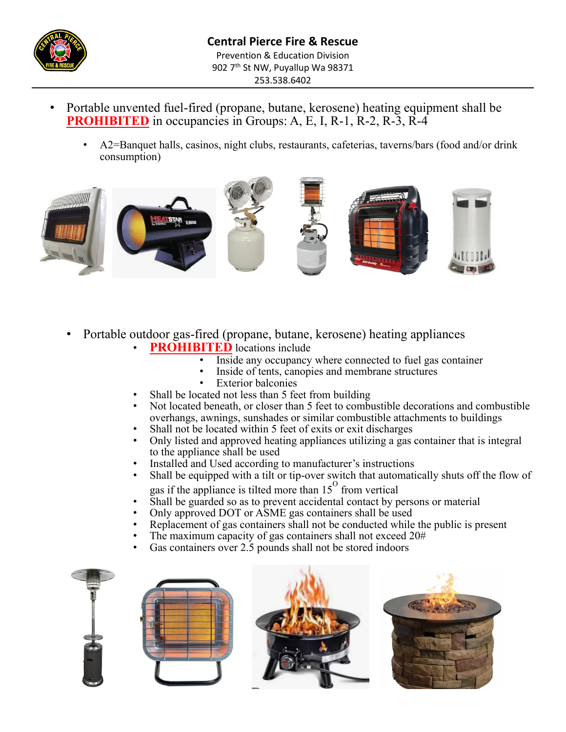

- Portable unvented fuel-fired (propane, butane, kerosene) heating equipment shall be **PROHIBITED** in occupancies in Groups: A, E, I, R-1, R-2, R-3, R-4
	- A2=Banquet halls, casinos, night clubs, restaurants, cafeterias, taverns/bars (food and/or drink consumption)



- Portable outdoor gas-fired (propane, butane, kerosene) heating appliances
	- **PROHIBITED** locations include
		- Inside any occupancy where connected to fuel gas container
		- Inside of tents, canopies and membrane structures
		- Exterior balconies
	- Shall be located not less than 5 feet from building
	- Not located beneath, or closer than 5 feet to combustible decorations and combustible overhangs, awnings, sunshades or similar combustible attachments to buildings
	- Shall not be located within 5 feet of exits or exit discharges
	- Only listed and approved heating appliances utilizing a gas container that is integral to the appliance shall be used
	- Installed and Used according to manufacturer's instructions
	- Shall be equipped with a tilt or tip-over switch that automatically shuts off the flow of gas if the appliance is tilted more than  $15^{\circ}$  from vertical
	- Shall be guarded so as to prevent accidental contact by persons or material
	- Only approved DOT or ASME gas containers shall be used
	- Replacement of gas containers shall not be conducted while the public is present
	- The maximum capacity of gas containers shall not exceed  $20#$
	- Gas containers over 2.5 pounds shall not be stored indoors